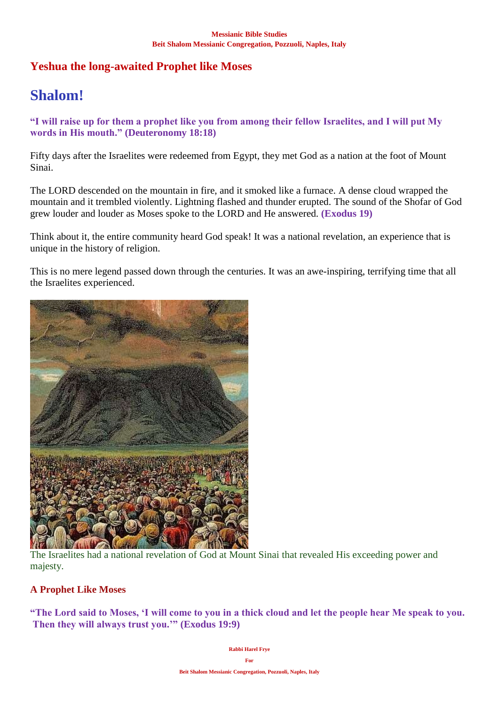# **Yeshua the long-awaited Prophet like Moses**

# **Shalom!**

**"I will raise up for them a prophet like you from among their fellow Israelites, and I will put My words in His mouth." (Deuteronomy 18:18)**

Fifty days after the Israelites were redeemed from Egypt, they met God as a nation at the foot of Mount Sinai.

The LORD descended on the mountain in fire, and it smoked like a furnace. A dense cloud wrapped the mountain and it trembled violently. Lightning flashed and thunder erupted. The sound of the Shofar of God grew louder and louder as Moses spoke to the LORD and He answered. **(Exodus 19)**

Think about it, the entire community heard God speak! It was a national revelation, an experience that is unique in the history of religion.

This is no mere legend passed down through the centuries. It was an awe-inspiring, terrifying time that all the Israelites experienced.



The Israelites had a national revelation of God at Mount Sinai that revealed His exceeding power and majesty.

# **A Prophet Like Moses**

**"The Lord said to Moses, 'I will come to you in a thick cloud and let the people hear Me speak to you. Then they will always trust you.'" (Exodus 19:9)**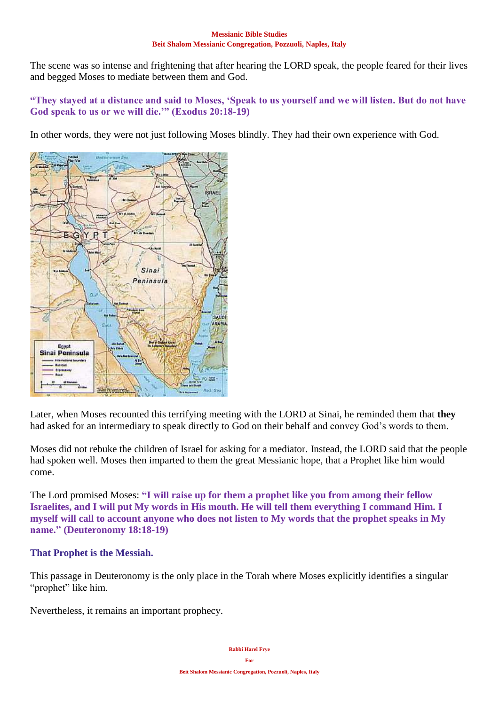The scene was so intense and frightening that after hearing the LORD speak, the people feared for their lives and begged Moses to mediate between them and God.

# **"They stayed at a distance and said to Moses, 'Speak to us yourself and we will listen. But do not have God speak to us or we will die.'" (Exodus 20:18-19)**

In other words, they were not just following Moses blindly. They had their own experience with God.



Later, when Moses recounted this terrifying meeting with the LORD at Sinai, he reminded them that **they** had asked for an intermediary to speak directly to God on their behalf and convey God's words to them.

Moses did not rebuke the children of Israel for asking for a mediator. Instead, the LORD said that the people had spoken well. Moses then imparted to them the great Messianic hope, that a Prophet like him would come.

The Lord promised Moses: **"I will raise up for them a prophet like you from among their fellow Israelites, and I will put My words in His mouth. He will tell them everything I command Him. I myself will call to account anyone who does not listen to My words that the prophet speaks in My name." (Deuteronomy 18:18-19)**

# **That Prophet is the Messiah.**

This passage in Deuteronomy is the only place in the Torah where Moses explicitly identifies a singular "prophet" like him.

Nevertheless, it remains an important prophecy.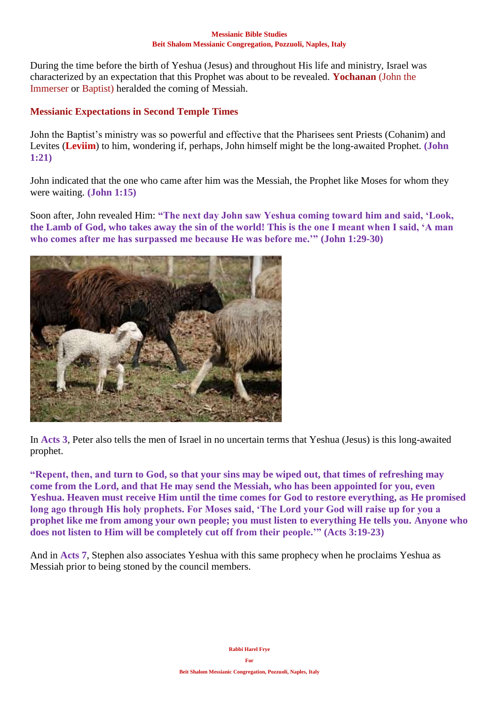During the time before the birth of Yeshua (Jesus) and throughout His life and ministry, Israel was characterized by an expectation that this Prophet was about to be revealed. **Yochanan** (John the Immerser or Baptist) heralded the coming of Messiah.

## **Messianic Expectations in Second Temple Times**

John the Baptist's ministry was so powerful and effective that the Pharisees sent Priests (Cohanim) and Levites (**Leviim**) to him, wondering if, perhaps, John himself might be the long-awaited Prophet. **(John 1:21)**

John indicated that the one who came after him was the Messiah, the Prophet like Moses for whom they were waiting. **(John 1:15)**

Soon after, John revealed Him: **"The next day John saw Yeshua coming toward him and said, 'Look, the Lamb of God, who takes away the sin of the world! This is the one I meant when I said, 'A man who comes after me has surpassed me because He was before me.'" (John 1:29-30)**



In **Acts 3**, Peter also tells the men of Israel in no uncertain terms that Yeshua (Jesus) is this long-awaited prophet.

**"Repent, then, and turn to God, so that your sins may be wiped out, that times of refreshing may come from the Lord, and that He may send the Messiah, who has been appointed for you, even Yeshua. Heaven must receive Him until the time comes for God to restore everything, as He promised long ago through His holy prophets. For Moses said, 'The Lord your God will raise up for you a prophet like me from among your own people; you must listen to everything He tells you. Anyone who does not listen to Him will be completely cut off from their people.'" (Acts 3:19-23)**

And in **Acts 7**, Stephen also associates Yeshua with this same prophecy when he proclaims Yeshua as Messiah prior to being stoned by the council members.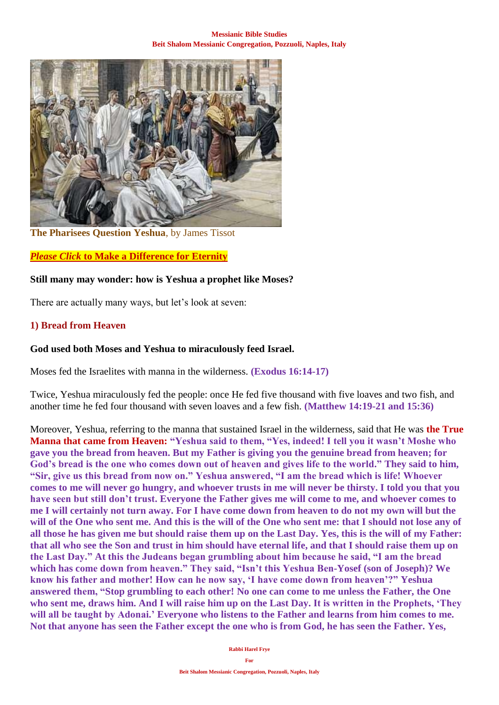

**The Pharisees Question Yeshua**, by James Tissot

## *Please Click* **[to Make a Difference for Eternity](https://villageofhopejusticeministry.org/donation-donazione/)**

## **Still many may wonder: how is Yeshua a prophet like Moses?**

There are actually many ways, but let's look at seven:

### **1) Bread from Heaven**

## **God used both Moses and Yeshua to miraculously feed Israel.**

Moses fed the Israelites with manna in the wilderness. **(Exodus 16:14-17)**

Twice, Yeshua miraculously fed the people: once He fed five thousand with five loaves and two fish, and another time he fed four thousand with seven loaves and a few fish. **(Matthew 14:19-21 and 15:36)**

Moreover, Yeshua, referring to the manna that sustained Israel in the wilderness, said that He was **the True Manna that came from Heaven: "Yeshua said to them, "Yes, indeed! I tell you it wasn't Moshe who gave you the bread from heaven. But my Father is giving you the genuine bread from heaven; for God's bread is the one who comes down out of heaven and gives life to the world." They said to him, "Sir, give us this bread from now on." Yeshua answered, "I am the bread which is life! Whoever comes to me will never go hungry, and whoever trusts in me will never be thirsty. I told you that you have seen but still don't trust. Everyone the Father gives me will come to me, and whoever comes to me I will certainly not turn away. For I have come down from heaven to do not my own will but the will of the One who sent me. And this is the will of the One who sent me: that I should not lose any of all those he has given me but should raise them up on the Last Day. Yes, this is the will of my Father: that all who see the Son and trust in him should have eternal life, and that I should raise them up on the Last Day." At this the Judeans began grumbling about him because he said, "I am the bread which has come down from heaven." They said, "Isn't this Yeshua Ben-Yosef (son of Joseph)? We know his father and mother! How can he now say, 'I have come down from heaven'?" Yeshua answered them, "Stop grumbling to each other! No one can come to me unless the Father, the One who sent me, draws him. And I will raise him up on the Last Day. It is written in the Prophets, 'They will all be taught by Adonai.' Everyone who listens to the Father and learns from him comes to me. Not that anyone has seen the Father except the one who is from God, he has seen the Father. Yes,**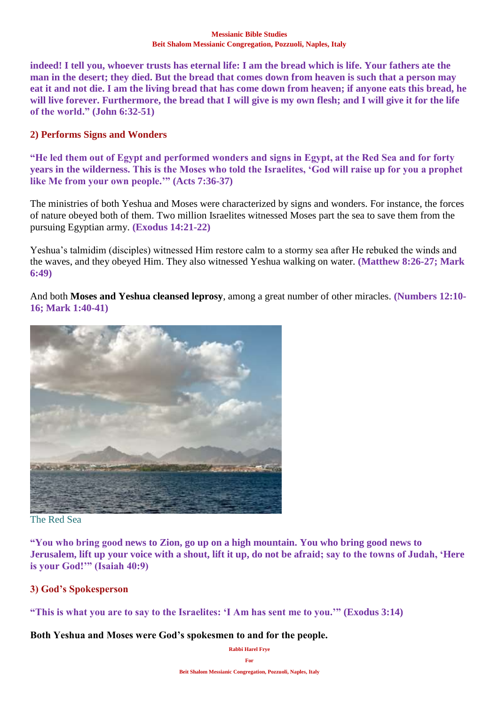**indeed! I tell you, whoever trusts has eternal life: I am the bread which is life. Your fathers ate the man in the desert; they died. But the bread that comes down from heaven is such that a person may eat it and not die. I am the living bread that has come down from heaven; if anyone eats this bread, he will live forever. Furthermore, the bread that I will give is my own flesh; and I will give it for the life of the world." (John 6:32-51)**

## **2) Performs Signs and Wonders**

**"He led them out of Egypt and performed wonders and signs in Egypt, at the Red Sea and for forty years in the wilderness. This is the Moses who told the Israelites, 'God will raise up for you a prophet like Me from your own people.'" (Acts 7:36-37)**

The ministries of both Yeshua and Moses were characterized by signs and wonders. For instance, the forces of nature obeyed both of them. Two million Israelites witnessed Moses part the sea to save them from the pursuing Egyptian army. **(Exodus 14:21-22)**

Yeshua's talmidim (disciples) witnessed Him restore calm to a stormy sea after He rebuked the winds and the waves, and they obeyed Him. They also witnessed Yeshua walking on water. **(Matthew 8:26-27; Mark 6:49)**

And both **Moses and Yeshua cleansed leprosy**, among a great number of other miracles. **(Numbers 12:10- 16; Mark 1:40-41)**



### The Red Sea

**"You who bring good news to Zion, go up on a high mountain. You who bring good news to Jerusalem, lift up your voice with a shout, lift it up, do not be afraid; say to the towns of Judah, 'Here is your God!'" (Isaiah 40:9)**

### **3) God's Spokesperson**

**"This is what you are to say to the Israelites: 'I Am has sent me to you.'" (Exodus 3:14)**

**Both Yeshua and Moses were God's spokesmen to and for the people.**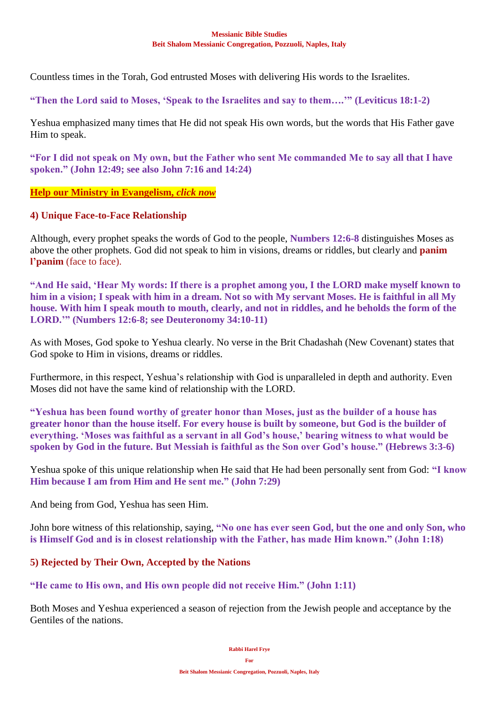Countless times in the Torah, God entrusted Moses with delivering His words to the Israelites.

**"Then the Lord said to Moses, 'Speak to the Israelites and say to them….'" (Leviticus 18:1-2)**

Yeshua emphasized many times that He did not speak His own words, but the words that His Father gave Him to speak.

**"For I did not speak on My own, but the Father who sent Me commanded Me to say all that I have spoken." (John 12:49; see also John 7:16 and 14:24)**

**[Help our Ministry in Evangelism,](https://villageofhopejusticeministry.org/donation-donazione/)** *click now*

### **4) Unique Face-to-Face Relationship**

Although, every prophet speaks the words of God to the people, **Numbers 12:6-8** distinguishes Moses as above the other prophets. God did not speak to him in visions, dreams or riddles, but clearly and **panim l'panim** (face to face).

**"And He said, 'Hear My words: If there is a prophet among you, I the LORD make myself known to him in a vision; I speak with him in a dream. Not so with My servant Moses. He is faithful in all My house. With him I speak mouth to mouth, clearly, and not in riddles, and he beholds the form of the LORD.'" (Numbers 12:6-8; see Deuteronomy 34:10-11)**

As with Moses, God spoke to Yeshua clearly. No verse in the Brit Chadashah (New Covenant) states that God spoke to Him in visions, dreams or riddles.

Furthermore, in this respect, Yeshua's relationship with God is unparalleled in depth and authority. Even Moses did not have the same kind of relationship with the LORD.

**"Yeshua has been found worthy of greater honor than Moses, just as the builder of a house has greater honor than the house itself. For every house is built by someone, but God is the builder of everything. 'Moses was faithful as a servant in all God's house,' bearing witness to what would be spoken by God in the future. But Messiah is faithful as the Son over God's house." (Hebrews 3:3-6)**

Yeshua spoke of this unique relationship when He said that He had been personally sent from God: **"I know Him because I am from Him and He sent me." (John 7:29)**

And being from God, Yeshua has seen Him.

John bore witness of this relationship, saying, **"No one has ever seen God, but the one and only Son, who is Himself God and is in closest relationship with the Father, has made Him known." (John 1:18)**

### **5) Rejected by Their Own, Accepted by the Nations**

**"He came to His own, and His own people did not receive Him." (John 1:11)**

Both Moses and Yeshua experienced a season of rejection from the Jewish people and acceptance by the Gentiles of the nations.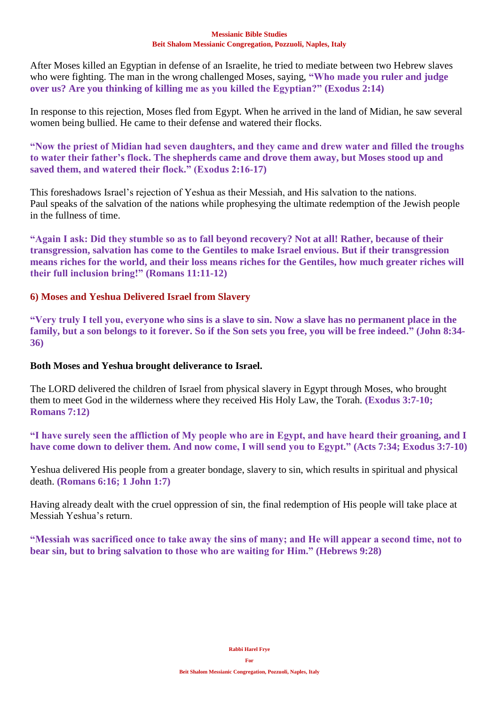After Moses killed an Egyptian in defense of an Israelite, he tried to mediate between two Hebrew slaves who were fighting. The man in the wrong challenged Moses, saying, **"Who made you ruler and judge over us? Are you thinking of killing me as you killed the Egyptian?" (Exodus 2:14)**

In response to this rejection, Moses fled from Egypt. When he arrived in the land of Midian, he saw several women being bullied. He came to their defense and watered their flocks.

**"Now the priest of Midian had seven daughters, and they came and drew water and filled the troughs to water their father's flock. The shepherds came and drove them away, but Moses stood up and saved them, and watered their flock." (Exodus 2:16-17)**

This foreshadows Israel's rejection of Yeshua as their Messiah, and His salvation to the nations. Paul speaks of the salvation of the nations while prophesying the ultimate redemption of the Jewish people in the fullness of time.

**"Again I ask: Did they stumble so as to fall beyond recovery? Not at all! Rather, because of their transgression, salvation has come to the Gentiles to make Israel envious. But if their transgression means riches for the world, and their loss means riches for the Gentiles, how much greater riches will their full inclusion bring!" (Romans 11:11-12)**

## **6) Moses and Yeshua Delivered Israel from Slavery**

**"Very truly I tell you, everyone who sins is a slave to sin. Now a slave has no permanent place in the family, but a son belongs to it forever. So if the Son sets you free, you will be free indeed." (John 8:34- 36)**

### **Both Moses and Yeshua brought deliverance to Israel.**

The LORD delivered the children of Israel from physical slavery in Egypt through Moses, who brought them to meet God in the wilderness where they received His Holy Law, the Torah. **(Exodus 3:7-10; Romans 7:12)**

**"I have surely seen the affliction of My people who are in Egypt, and have heard their groaning, and I have come down to deliver them. And now come, I will send you to Egypt." (Acts 7:34; Exodus 3:7-10)**

Yeshua delivered His people from a greater bondage, slavery to sin, which results in spiritual and physical death. **(Romans 6:16; 1 John 1:7)**

Having already dealt with the cruel oppression of sin, the final redemption of His people will take place at Messiah Yeshua's return.

**"Messiah was sacrificed once to take away the sins of many; and He will appear a second time, not to bear sin, but to bring salvation to those who are waiting for Him." (Hebrews 9:28)**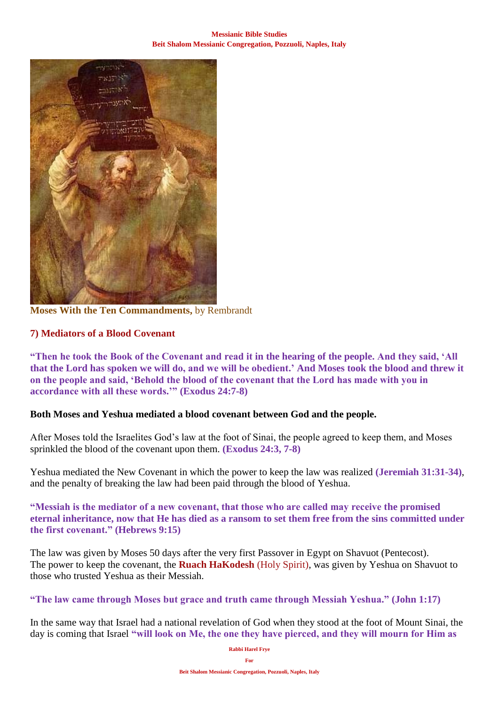

**Moses With the Ten Commandments,** by Rembrandt

# **7) Mediators of a Blood Covenant**

**"Then he took the Book of the Covenant and read it in the hearing of the people. And they said, 'All that the Lord has spoken we will do, and we will be obedient.' And Moses took the blood and threw it on the people and said, 'Behold the blood of the covenant that the Lord has made with you in accordance with all these words.'" (Exodus 24:7-8)**

### **Both Moses and Yeshua mediated a blood covenant between God and the people.**

After Moses told the Israelites God's law at the foot of Sinai, the people agreed to keep them, and Moses sprinkled the blood of the covenant upon them. **(Exodus 24:3, 7-8)**

Yeshua mediated the New Covenant in which the power to keep the law was realized **(Jeremiah 31:31-34)**, and the penalty of breaking the law had been paid through the blood of Yeshua.

**"Messiah is the mediator of a new covenant, that those who are called may receive the promised eternal inheritance, now that He has died as a ransom to set them free from the sins committed under the first covenant." (Hebrews 9:15)**

The law was given by Moses 50 days after the very first Passover in Egypt on Shavuot (Pentecost). The power to keep the covenant, the **Ruach HaKodesh** (Holy Spirit), was given by Yeshua on Shavuot to those who trusted Yeshua as their Messiah.

**"The law came through Moses but grace and truth came through Messiah Yeshua." (John 1:17)**

In the same way that Israel had a national revelation of God when they stood at the foot of Mount Sinai, the day is coming that Israel **"will look on Me, the one they have pierced, and they will mourn for Him as**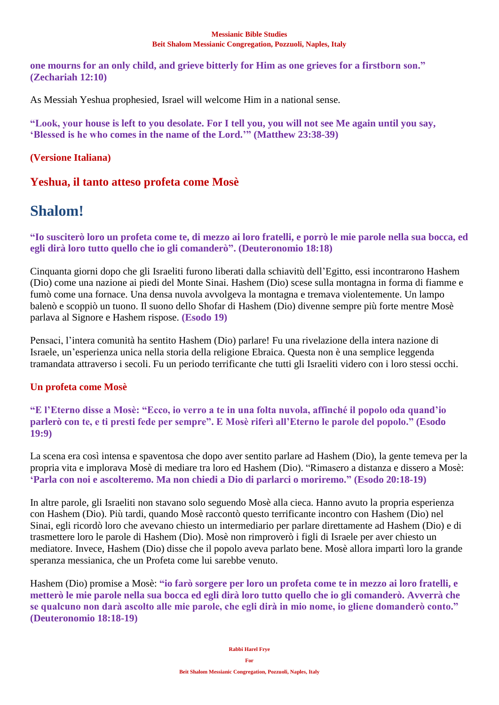**one mourns for an only child, and grieve bitterly for Him as one grieves for a firstborn son." (Zechariah 12:10)**

As Messiah Yeshua prophesied, Israel will welcome Him in a national sense.

**"Look, your house is left to you desolate. For I tell you, you will not see Me again until you say, 'Blessed is he who comes in the name of the Lord.'" (Matthew 23:38-39)**

# **(Versione Italiana)**

# **Yeshua, il tanto atteso profeta come Mosè**

# **Shalom!**

## **"Io susciterò loro un profeta come te, di mezzo ai loro fratelli, e porrò le mie parole nella sua bocca, ed egli dirà loro tutto quello che io gli comanderò". (Deuteronomio 18:18)**

Cinquanta giorni dopo che gli Israeliti furono liberati dalla schiavitù dell'Egitto, essi incontrarono Hashem (Dio) come una nazione ai piedi del Monte Sinai. Hashem (Dio) scese sulla montagna in forma di fiamme e fumò come una fornace. Una densa nuvola avvolgeva la montagna e tremava violentemente. Un lampo balenò e scoppiò un tuono. Il suono dello Shofar di Hashem (Dio) divenne sempre più forte mentre Mosè parlava al Signore e Hashem rispose. **(Esodo 19)**

Pensaci, l'intera comunità ha sentito Hashem (Dio) parlare! Fu una rivelazione della intera nazione di Israele, un'esperienza unica nella storia della religione Ebraica. Questa non è una semplice leggenda tramandata attraverso i secoli. Fu un periodo terrificante che tutti gli Israeliti videro con i loro stessi occhi.

# **Un profeta come Mosè**

**"E l'Eterno disse a Mosè: "Ecco, io verro a te in una folta nuvola, affinché il popolo oda quand'io parlerò con te, e ti presti fede per sempre". E Mosè riferì all'Eterno le parole del popolo." (Esodo 19:9)**

La scena era così intensa e spaventosa che dopo aver sentito parlare ad Hashem (Dio), la gente temeva per la propria vita e implorava Mosè di mediare tra loro ed Hashem (Dio). "Rimasero a distanza e dissero a Mosè: **'Parla con noi e ascolteremo. Ma non chiedi a Dio di parlarci o moriremo." (Esodo 20:18-19)**

In altre parole, gli Israeliti non stavano solo seguendo Mosè alla cieca. Hanno avuto la propria esperienza con Hashem (Dio). Più tardi, quando Mosè raccontò questo terrificante incontro con Hashem (Dio) nel Sinai, egli ricordò loro che avevano chiesto un intermediario per parlare direttamente ad Hashem (Dio) e di trasmettere loro le parole di Hashem (Dio). Mosè non rimproverò i figli di Israele per aver chiesto un mediatore. Invece, Hashem (Dio) disse che il popolo aveva parlato bene. Mosè allora impartì loro la grande speranza messianica, che un Profeta come lui sarebbe venuto.

Hashem (Dio) promise a Mosè: **"io farò sorgere per loro un profeta come te in mezzo ai loro fratelli, e metterò le mie parole nella sua bocca ed egli dirà loro tutto quello che io gli comanderò. Avverrà che se qualcuno non darà ascolto alle mie parole, che egli dirà in mio nome, io gliene domanderò conto." (Deuteronomio 18:18-19)**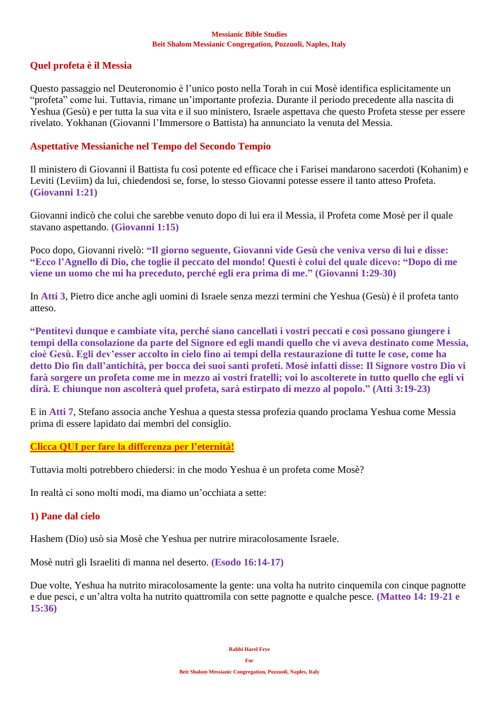## **Quel profeta è il Messia**

Questo passaggio nel Deuteronomio è l'unico posto nella Torah in cui Mosè identifica esplicitamente un "profeta" come lui. Tuttavia, rimane un'importante profezia. Durante il periodo precedente alla nascita di Yeshua (Gesù) e per tutta la sua vita e il suo ministero, Israele aspettava che questo Profeta stesse per essere rivelato. Yokhanan (Giovanni l'Immersore o Battista) ha annunciato la venuta del Messia.

## **Aspettative Messianiche nel Tempo del Secondo Tempio**

Il ministero di Giovanni il Battista fu così potente ed efficace che i Farisei mandarono sacerdoti (Kohanim) e Leviti (Leviim) da lui, chiedendosi se, forse, lo stesso Giovanni potesse essere il tanto atteso Profeta. **(Giovanni 1:21)**

Giovanni indicò che colui che sarebbe venuto dopo di lui era il Messia, il Profeta come Mosè per il quale stavano aspettando. **(Giovanni 1:15)**

Poco dopo, Giovanni rivelò: **"Il giorno seguente, Giovanni vide Gesù che veniva verso di lui e disse: "Ecco l'Agnello di Dio, che toglie il peccato del mondo! Questi è colui del quale dicevo: "Dopo di me viene un uomo che mi ha preceduto, perché egli era prima di me." (Giovanni 1:29-30)**

In **Atti 3**, Pietro dice anche agli uomini di Israele senza mezzi termini che Yeshua (Gesù) è il profeta tanto atteso.

**"Pentitevi dunque e cambiate vita, perché siano cancellati i vostri peccati e così possano giungere i tempi della consolazione da parte del Signore ed egli mandi quello che vi aveva destinato come Messia, cioè Gesù. Egli dev'esser accolto in cielo fino ai tempi della restaurazione di tutte le cose, come ha detto Dio fin dall'antichità, per bocca dei suoi santi profeti. Mosè infatti disse: Il Signore vostro Dio vi farà sorgere un profeta come me in mezzo ai vostri fratelli; voi lo ascolterete in tutto quello che egli vi dirà. E chiunque non ascolterà quel profeta, sarà estirpato di mezzo al popolo." (Atti 3:19-23)**

E in **Atti 7**, Stefano associa anche Yeshua a questa stessa profezia quando proclama Yeshua come Messia prima di essere lapidato dai membri del consiglio.

### **[Clicca QUI per fare la differenza per l'eternità!](https://villageofhopejusticeministry.org/donation-donazione/)**

Tuttavia molti potrebbero chiedersi: in che modo Yeshua è un profeta come Mosè?

In realtà ci sono molti modi, ma diamo un'occhiata a sette:

## **1) Pane dal cielo**

Hashem (Dio) usò sia Mosè che Yeshua per nutrire miracolosamente Israele.

Mosè nutrì gli Israeliti di manna nel deserto. **(Esodo 16:14-17)**

Due volte, Yeshua ha nutrito miracolosamente la gente: una volta ha nutrito cinquemila con cinque pagnotte e due pesci, e un'altra volta ha nutrito quattromila con sette pagnotte e qualche pesce. **(Matteo 14: 19-21 e 15:36)**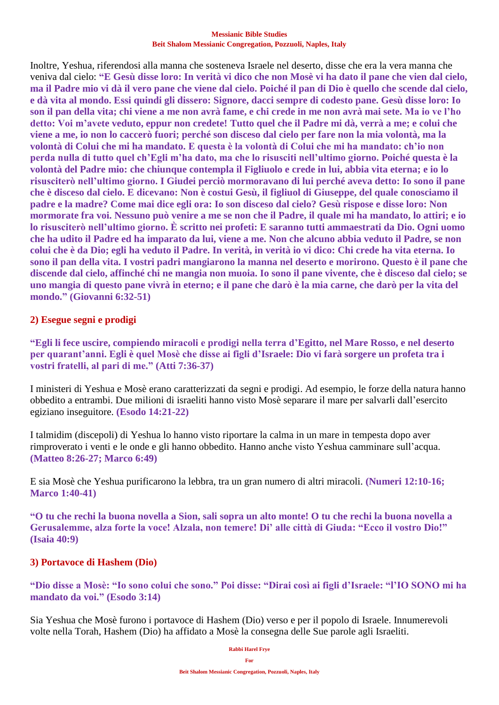Inoltre, Yeshua, riferendosi alla manna che sosteneva Israele nel deserto, disse che era la vera manna che veniva dal cielo: **"E Gesù disse loro: In verità vi dico che non Mosè vi ha dato il pane che vien dal cielo, ma il Padre mio vi dà il vero pane che viene dal cielo. Poiché il pan di Dio è quello che scende dal cielo, e dà vita al mondo. Essi quindi gli dissero: Signore, dacci sempre di codesto pane. Gesù disse loro: Io son il pan della vita; chi viene a me non avrà fame, e chi crede in me non avrà mai sete. Ma io ve l'ho detto: Voi m'avete veduto, eppur non credete! Tutto quel che il Padre mi dà, verrà a me; e colui che viene a me, io non lo caccerò fuori; perché son disceso dal cielo per fare non la mia volontà, ma la volontà di Colui che mi ha mandato. E questa è la volontà di Colui che mi ha mandato: ch'io non perda nulla di tutto quel ch'Egli m'ha dato, ma che lo risusciti nell'ultimo giorno. Poiché questa è la volontà del Padre mio: che chiunque contempla il Figliuolo e crede in lui, abbia vita eterna; e io lo risusciterò nell'ultimo giorno. I Giudei perciò mormoravano di lui perché aveva detto: Io sono il pane che è disceso dal cielo. E dicevano: Non è costui Gesù, il figliuol di Giuseppe, del quale conosciamo il padre e la madre? Come mai dice egli ora: Io son disceso dal cielo? Gesù rispose e disse loro: Non mormorate fra voi. Nessuno può venire a me se non che il Padre, il quale mi ha mandato, lo attiri; e io lo risusciterò nell'ultimo giorno. È scritto nei profeti: E saranno tutti ammaestrati da Dio. Ogni uomo che ha udito il Padre ed ha imparato da lui, viene a me. Non che alcuno abbia veduto il Padre, se non colui che è da Dio; egli ha veduto il Padre. In verità, in verità io vi dico: Chi crede ha vita eterna. Io sono il pan della vita. I vostri padri mangiarono la manna nel deserto e morirono. Questo è il pane che discende dal cielo, affinché chi ne mangia non muoia. Io sono il pane vivente, che è disceso dal cielo; se uno mangia di questo pane vivrà in eterno; e il pane che darò è la mia carne, che darò per la vita del mondo." (Giovanni 6:32-51)**

### **2) Esegue segni e prodigi**

**"Egli li fece uscire, compiendo miracoli e prodigi nella terra d'Egitto, nel Mare Rosso, e nel deserto per quarant'anni. Egli è quel Mosè che disse ai figli d'Israele: Dio vi farà sorgere un profeta tra i vostri fratelli, al pari di me." (Atti 7:36-37)**

I ministeri di Yeshua e Mosè erano caratterizzati da segni e prodigi. Ad esempio, le forze della natura hanno obbedito a entrambi. Due milioni di israeliti hanno visto Mosè separare il mare per salvarli dall'esercito egiziano inseguitore. **(Esodo 14:21-22)**

I talmidim (discepoli) di Yeshua lo hanno visto riportare la calma in un mare in tempesta dopo aver rimproverato i venti e le onde e gli hanno obbedito. Hanno anche visto Yeshua camminare sull'acqua. **(Matteo 8:26-27; Marco 6:49)**

E sia Mosè che Yeshua purificarono la lebbra, tra un gran numero di altri miracoli. **(Numeri 12:10-16; Marco 1:40-41)**

**"O tu che rechi la buona novella a Sion, sali sopra un alto monte! O tu che rechi la buona novella a Gerusalemme, alza forte la voce! Alzala, non temere! Di' alle città di Giuda: "Ecco il vostro Dio!" (Isaia 40:9)**

### **3) Portavoce di Hashem (Dio)**

**"Dio disse a Mosè: "Io sono colui che sono." Poi disse: "Dirai così ai figli d'Israele: "l'IO SONO mi ha mandato da voi." (Esodo 3:14)**

Sia Yeshua che Mosè furono i portavoce di Hashem (Dio) verso e per il popolo di Israele. Innumerevoli volte nella Torah, Hashem (Dio) ha affidato a Mosè la consegna delle Sue parole agli Israeliti.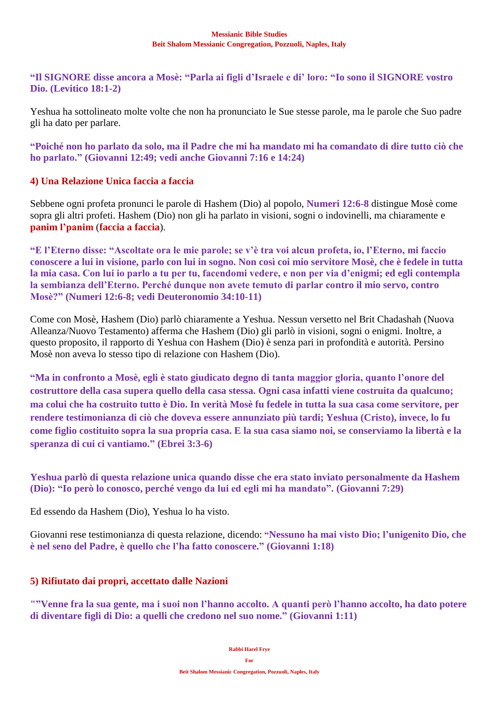**"Il SIGNORE disse ancora a Mosè: "Parla ai figli d'Israele e di' loro: "Io sono il SIGNORE vostro Dio. (Levitico 18:1-2)**

Yeshua ha sottolineato molte volte che non ha pronunciato le Sue stesse parole, ma le parole che Suo padre gli ha dato per parlare.

**"Poiché non ho parlato da solo, ma il Padre che mi ha mandato mi ha comandato di dire tutto ciò che ho parlato." (Giovanni 12:49; vedi anche Giovanni 7:16 e 14:24)**

## **4) Una Relazione Unica faccia a faccia**

Sebbene ogni profeta pronunci le parole di Hashem (Dio) al popolo, **Numeri 12:6-8** distingue Mosè come sopra gli altri profeti. Hashem (Dio) non gli ha parlato in visioni, sogni o indovinelli, ma chiaramente e **panim l'panim** (**faccia a faccia**).

**"E l'Eterno disse: "Ascoltate ora le mie parole; se v'è tra voi alcun profeta, io, l'Eterno, mi faccio conoscere a lui in visione, parlo con lui in sogno. Non così coi mio servitore Mosè, che è fedele in tutta la mia casa. Con lui io parlo a tu per tu, facendomi vedere, e non per via d'enigmi; ed egli contempla la sembianza dell'Eterno. Perché dunque non avete temuto di parlar contro il mio servo, contro Mosè?" (Numeri 12:6-8; vedi Deuteronomio 34:10-11)**

Come con Mosè, Hashem (Dio) parlò chiaramente a Yeshua. Nessun versetto nel Brit Chadashah (Nuova Alleanza/Nuovo Testamento) afferma che Hashem (Dio) gli parlò in visioni, sogni o enigmi. Inoltre, a questo proposito, il rapporto di Yeshua con Hashem (Dio) è senza pari in profondità e autorità. Persino Mosè non aveva lo stesso tipo di relazione con Hashem (Dio).

**"Ma in confronto a Mosè, egli è stato giudicato degno di tanta maggior gloria, quanto l'onore del costruttore della casa supera quello della casa stessa. Ogni casa infatti viene costruita da qualcuno; ma colui che ha costruito tutto è Dio. In verità Mosè fu fedele in tutta la sua casa come servitore, per rendere testimonianza di ciò che doveva essere annunziato più tardi; Yeshua (Cristo), invece, lo fu come figlio costituito sopra la sua propria casa. E la sua casa siamo noi, se conserviamo la libertà e la speranza di cui ci vantiamo." (Ebrei 3:3-6)**

**Yeshua parlò di questa relazione unica quando disse che era stato inviato personalmente da Hashem (Dio): "Io però lo conosco, perché vengo da lui ed egli mi ha mandato". (Giovanni 7:29)**

Ed essendo da Hashem (Dio), Yeshua lo ha visto.

Giovanni rese testimonianza di questa relazione, dicendo: **"Nessuno ha mai visto Dio; l'unigenito Dio, che è nel seno del Padre, è quello che l'ha fatto conoscere." (Giovanni 1:18)**

### **5) Rifiutato dai propri, accettato dalle Nazioni**

**""Venne fra la sua gente, ma i suoi non l'hanno accolto. A quanti però l'hanno accolto, ha dato potere di diventare figli di Dio: a quelli che credono nel suo nome." (Giovanni 1:11)**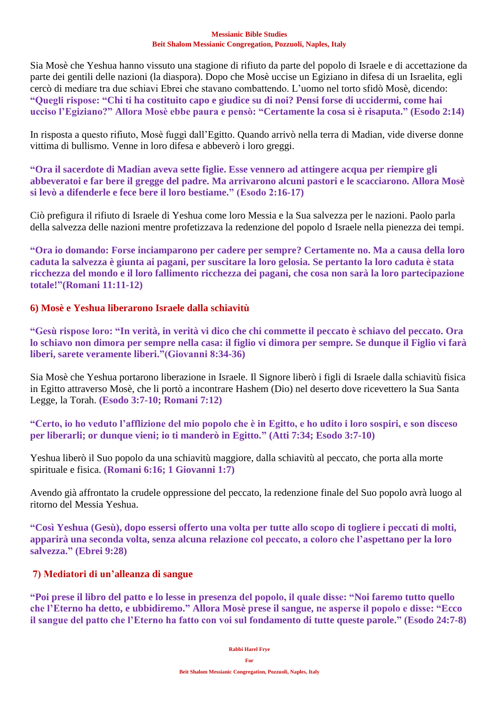Sia Mosè che Yeshua hanno vissuto una stagione di rifiuto da parte del popolo di Israele e di accettazione da parte dei gentili delle nazioni (la diaspora). Dopo che Mosè uccise un Egiziano in difesa di un Israelita, egli cercò di mediare tra due schiavi Ebrei che stavano combattendo. L'uomo nel torto sfidò Mosè, dicendo: **"Quegli rispose: "Chi ti ha costituito capo e giudice su di noi? Pensi forse di uccidermi, come hai ucciso l'Egiziano?" Allora Mosè ebbe paura e pensò: "Certamente la cosa si è risaputa." (Esodo 2:14)**

In risposta a questo rifiuto, Mosè fuggì dall'Egitto. Quando arrivò nella terra di Madian, vide diverse donne vittima di bullismo. Venne in loro difesa e abbeverò i loro greggi.

**"Ora il sacerdote di Madian aveva sette figlie. Esse vennero ad attingere acqua per riempire gli abbeveratoi e far bere il gregge del padre. Ma arrivarono alcuni pastori e le scacciarono. Allora Mosè si levò a difenderle e fece bere il loro bestiame." (Esodo 2:16-17)**

Ciò prefigura il rifiuto di Israele di Yeshua come loro Messia e la Sua salvezza per le nazioni. Paolo parla della salvezza delle nazioni mentre profetizzava la redenzione del popolo d Israele nella pienezza dei tempi.

**"Ora io domando: Forse inciamparono per cadere per sempre? Certamente no. Ma a causa della loro caduta la salvezza è giunta ai pagani, per suscitare la loro gelosia. Se pertanto la loro caduta è stata ricchezza del mondo e il loro fallimento ricchezza dei pagani, che cosa non sarà la loro partecipazione totale!"(Romani 11:11-12)**

# **6) Mosè e Yeshua liberarono Israele dalla schiavitù**

**"Gesù rispose loro: "In verità, in verità vi dico che chi commette il peccato è schiavo del peccato. Ora lo schiavo non dimora per sempre nella casa: il figlio vi dimora per sempre. Se dunque il Figlio vi farà liberi, sarete veramente liberi."(Giovanni 8:34-36)**

Sia Mosè che Yeshua portarono liberazione in Israele. Il Signore liberò i figli di Israele dalla schiavitù fisica in Egitto attraverso Mosè, che li portò a incontrare Hashem (Dio) nel deserto dove ricevettero la Sua Santa Legge, la Torah. **(Esodo 3:7-10; Romani 7:12)**

**"Certo, io ho veduto l'afflizione del mio popolo che è in Egitto, e ho udito i loro sospiri, e son disceso per liberarli; or dunque vieni; io ti manderò in Egitto." (Atti 7:34; Esodo 3:7-10)**

Yeshua liberò il Suo popolo da una schiavitù maggiore, dalla schiavitù al peccato, che porta alla morte spirituale e fisica. **(Romani 6:16; 1 Giovanni 1:7)**

Avendo già affrontato la crudele oppressione del peccato, la redenzione finale del Suo popolo avrà luogo al ritorno del Messia Yeshua.

**"Così Yeshua (Gesù), dopo essersi offerto una volta per tutte allo scopo di togliere i peccati di molti, apparirà una seconda volta, senza alcuna relazione col peccato, a coloro che l'aspettano per la loro salvezza." (Ebrei 9:28)**

# **7) Mediatori di un'alleanza di sangue**

**"Poi prese il libro del patto e lo lesse in presenza del popolo, il quale disse: "Noi faremo tutto quello che l'Eterno ha detto, e ubbidiremo." Allora Mosè prese il sangue, ne asperse il popolo e disse: "Ecco il sangue del patto che l'Eterno ha fatto con voi sul fondamento di tutte queste parole." (Esodo 24:7-8)**